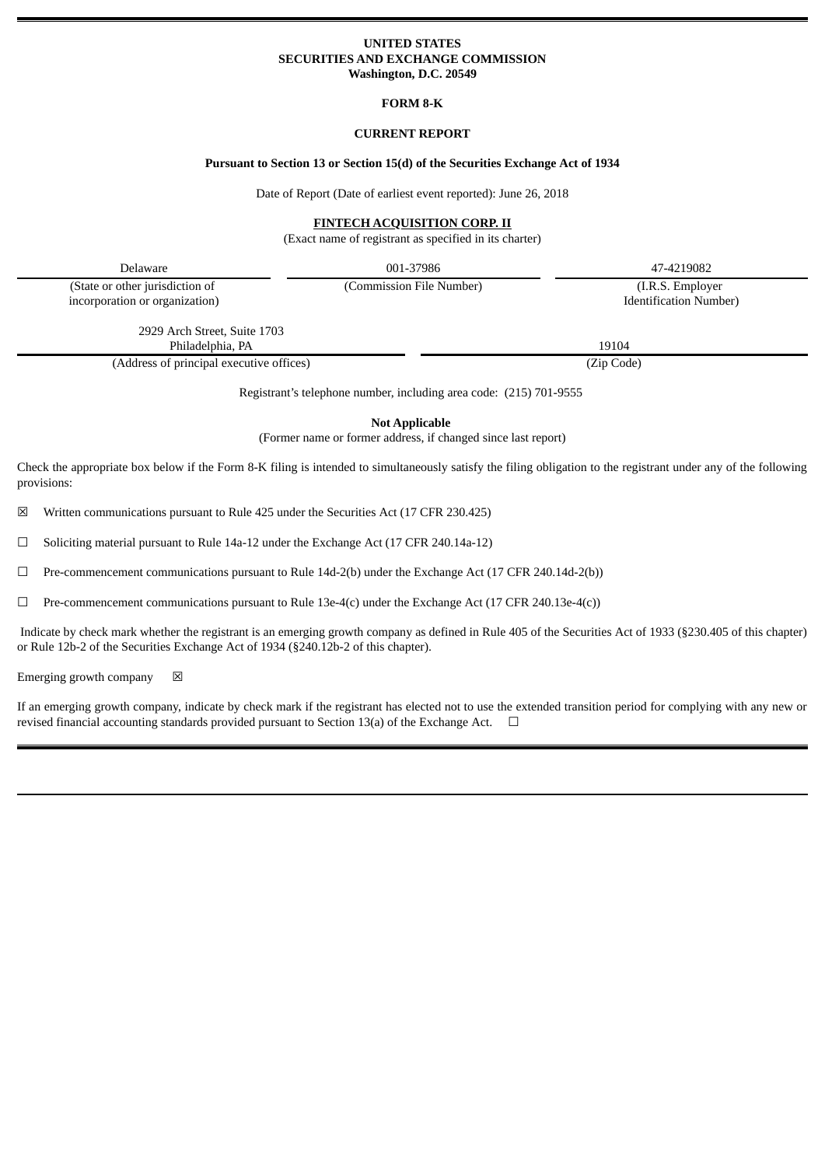## **UNITED STATES SECURITIES AND EXCHANGE COMMISSION Washington, D.C. 20549**

**FORM 8-K**

# **CURRENT REPORT**

# **Pursuant to Section 13 or Section 15(d) of the Securities Exchange Act of 1934**

Date of Report (Date of earliest event reported): June 26, 2018

# **FINTECH ACQUISITION CORP. II**

(Exact name of registrant as specified in its charter)

Delaware 001-37986 47-4219082

(State or other jurisdiction of incorporation or organization) (Commission File Number) (I.R.S. Employer

Identification Number)

2929 Arch Street, Suite 1703 Philadelphia, PA 19104

(Address of principal executive offices) (Zip Code)

Registrant's telephone number, including area code: (215) 701-9555

**Not Applicable**

(Former name or former address, if changed since last report)

Check the appropriate box below if the Form 8-K filing is intended to simultaneously satisfy the filing obligation to the registrant under any of the following provisions:

☒ Written communications pursuant to Rule 425 under the Securities Act (17 CFR 230.425)

☐ Soliciting material pursuant to Rule 14a-12 under the Exchange Act (17 CFR 240.14a-12)

 $\Box$  Pre-commencement communications pursuant to Rule 14d-2(b) under the Exchange Act (17 CFR 240.14d-2(b))

 $\Box$  Pre-commencement communications pursuant to Rule 13e-4(c) under the Exchange Act (17 CFR 240.13e-4(c))

Indicate by check mark whether the registrant is an emerging growth company as defined in Rule 405 of the Securities Act of 1933 (§230.405 of this chapter) or Rule 12b-2 of the Securities Exchange Act of 1934 (§240.12b-2 of this chapter).

Emerging growth company  $\boxtimes$ 

If an emerging growth company, indicate by check mark if the registrant has elected not to use the extended transition period for complying with any new or revised financial accounting standards provided pursuant to Section 13(a) of the Exchange Act.  $\Box$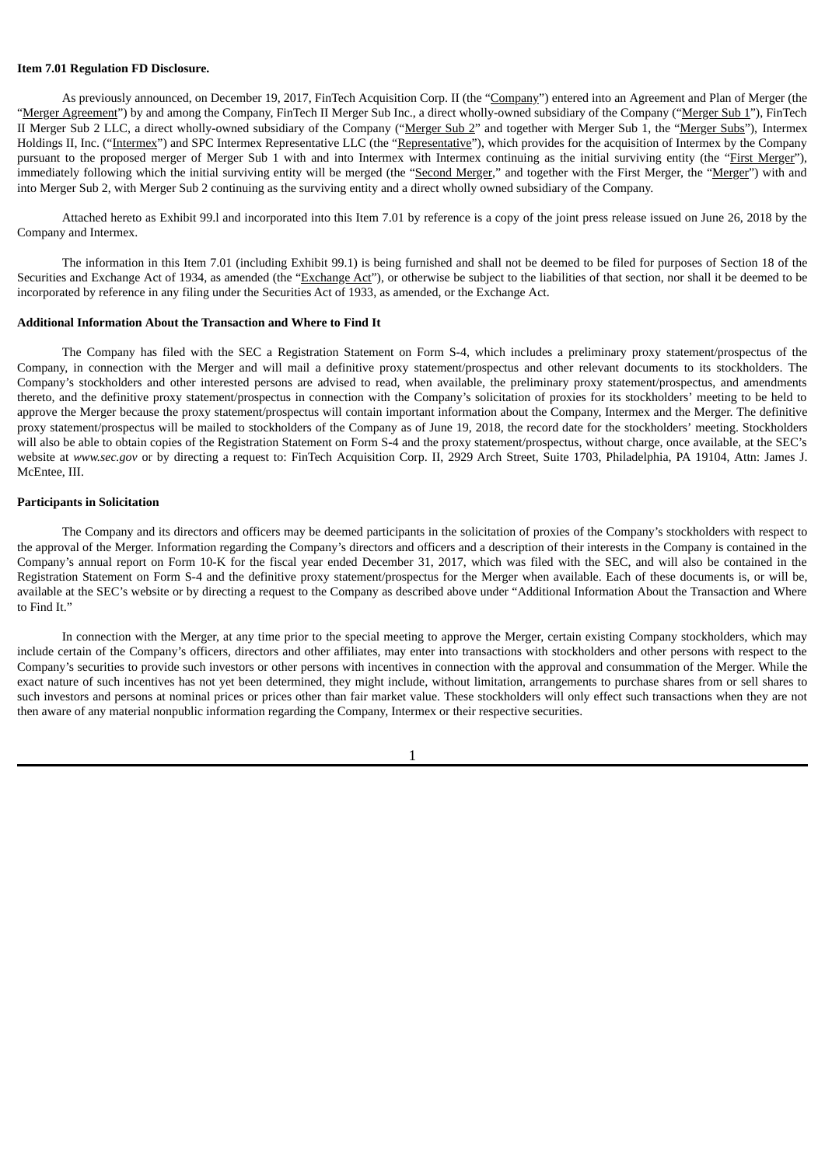### **Item 7.01 Regulation FD Disclosure.**

As previously announced, on December 19, 2017, FinTech Acquisition Corp. II (the "Company") entered into an Agreement and Plan of Merger (the "Merger Agreement") by and among the Company, FinTech II Merger Sub Inc., a direct wholly-owned subsidiary of the Company ("Merger Sub 1"), FinTech II Merger Sub 2 LLC, a direct wholly-owned subsidiary of the Company ("Merger Sub 2" and together with Merger Sub 1, the "Merger Subs"), Intermex Holdings II, Inc. ("Intermex") and SPC Intermex Representative LLC (the "Representative"), which provides for the acquisition of Intermex by the Company pursuant to the proposed merger of Merger Sub 1 with and into Intermex with Intermex continuing as the initial surviving entity (the "First Merger"), immediately following which the initial surviving entity will be merged (the "Second Merger," and together with the First Merger, the "Merger") with and into Merger Sub 2, with Merger Sub 2 continuing as the surviving entity and a direct wholly owned subsidiary of the Company.

Attached hereto as Exhibit 99.l and incorporated into this Item 7.01 by reference is a copy of the joint press release issued on June 26, 2018 by the Company and Intermex.

The information in this Item 7.01 (including Exhibit 99.1) is being furnished and shall not be deemed to be filed for purposes of Section 18 of the Securities and Exchange Act of 1934, as amended (the "Exchange Act"), or otherwise be subject to the liabilities of that section, nor shall it be deemed to be incorporated by reference in any filing under the Securities Act of 1933, as amended, or the Exchange Act.

### **Additional Information About the Transaction and Where to Find It**

The Company has filed with the SEC a Registration Statement on Form S-4, which includes a preliminary proxy statement/prospectus of the Company, in connection with the Merger and will mail a definitive proxy statement/prospectus and other relevant documents to its stockholders. The Company's stockholders and other interested persons are advised to read, when available, the preliminary proxy statement/prospectus, and amendments thereto, and the definitive proxy statement/prospectus in connection with the Company's solicitation of proxies for its stockholders' meeting to be held to approve the Merger because the proxy statement/prospectus will contain important information about the Company, Intermex and the Merger. The definitive proxy statement/prospectus will be mailed to stockholders of the Company as of June 19, 2018, the record date for the stockholders' meeting. Stockholders will also be able to obtain copies of the Registration Statement on Form S-4 and the proxy statement/prospectus, without charge, once available, at the SEC's website at *www.sec.gov* or by directing a request to: FinTech Acquisition Corp. II, 2929 Arch Street, Suite 1703, Philadelphia, PA 19104, Attn: James J. McEntee, III.

#### **Participants in Solicitation**

The Company and its directors and officers may be deemed participants in the solicitation of proxies of the Company's stockholders with respect to the approval of the Merger. Information regarding the Company's directors and officers and a description of their interests in the Company is contained in the Company's annual report on Form 10-K for the fiscal year ended December 31, 2017, which was filed with the SEC, and will also be contained in the Registration Statement on Form S-4 and the definitive proxy statement/prospectus for the Merger when available. Each of these documents is, or will be, available at the SEC's website or by directing a request to the Company as described above under "Additional Information About the Transaction and Where to Find It."

In connection with the Merger, at any time prior to the special meeting to approve the Merger, certain existing Company stockholders, which may include certain of the Company's officers, directors and other affiliates, may enter into transactions with stockholders and other persons with respect to the Company's securities to provide such investors or other persons with incentives in connection with the approval and consummation of the Merger. While the exact nature of such incentives has not yet been determined, they might include, without limitation, arrangements to purchase shares from or sell shares to such investors and persons at nominal prices or prices other than fair market value. These stockholders will only effect such transactions when they are not then aware of any material nonpublic information regarding the Company, Intermex or their respective securities.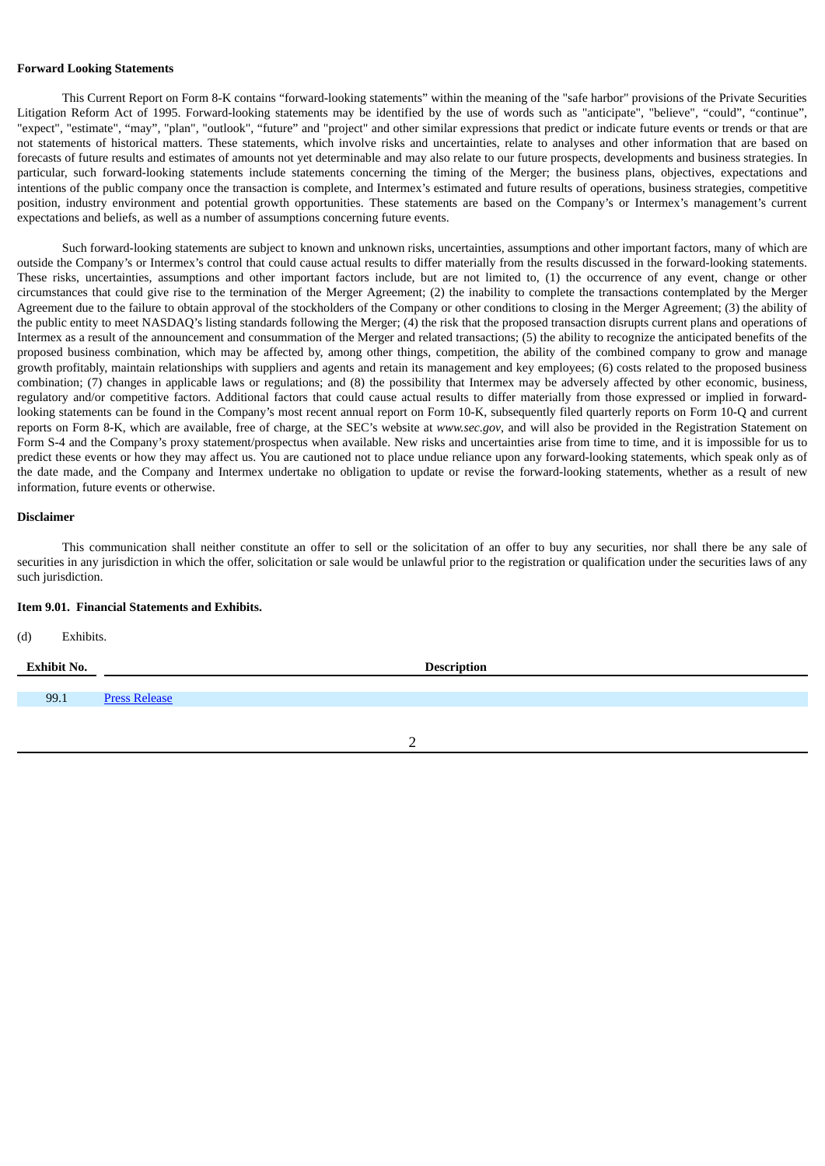#### **Forward Looking Statements**

This Current Report on Form 8-K contains "forward-looking statements" within the meaning of the "safe harbor" provisions of the Private Securities Litigation Reform Act of 1995. Forward-looking statements may be identified by the use of words such as "anticipate", "believe", "could", "continue", "expect", "estimate", "may", "plan", "outlook", "future" and "project" and other similar expressions that predict or indicate future events or trends or that are not statements of historical matters. These statements, which involve risks and uncertainties, relate to analyses and other information that are based on forecasts of future results and estimates of amounts not yet determinable and may also relate to our future prospects, developments and business strategies. In particular, such forward-looking statements include statements concerning the timing of the Merger; the business plans, objectives, expectations and intentions of the public company once the transaction is complete, and Intermex's estimated and future results of operations, business strategies, competitive position, industry environment and potential growth opportunities. These statements are based on the Company's or Intermex's management's current expectations and beliefs, as well as a number of assumptions concerning future events.

Such forward-looking statements are subject to known and unknown risks, uncertainties, assumptions and other important factors, many of which are outside the Company's or Intermex's control that could cause actual results to differ materially from the results discussed in the forward-looking statements. These risks, uncertainties, assumptions and other important factors include, but are not limited to, (1) the occurrence of any event, change or other circumstances that could give rise to the termination of the Merger Agreement; (2) the inability to complete the transactions contemplated by the Merger Agreement due to the failure to obtain approval of the stockholders of the Company or other conditions to closing in the Merger Agreement; (3) the ability of the public entity to meet NASDAQ's listing standards following the Merger; (4) the risk that the proposed transaction disrupts current plans and operations of Intermex as a result of the announcement and consummation of the Merger and related transactions; (5) the ability to recognize the anticipated benefits of the proposed business combination, which may be affected by, among other things, competition, the ability of the combined company to grow and manage growth profitably, maintain relationships with suppliers and agents and retain its management and key employees; (6) costs related to the proposed business combination; (7) changes in applicable laws or regulations; and (8) the possibility that Intermex may be adversely affected by other economic, business, regulatory and/or competitive factors. Additional factors that could cause actual results to differ materially from those expressed or implied in forwardlooking statements can be found in the Company's most recent annual report on Form 10-K, subsequently filed quarterly reports on Form 10-Q and current reports on Form 8-K, which are available, free of charge, at the SEC's website at *www.sec.gov*, and will also be provided in the Registration Statement on Form S-4 and the Company's proxy statement/prospectus when available. New risks and uncertainties arise from time to time, and it is impossible for us to predict these events or how they may affect us. You are cautioned not to place undue reliance upon any forward-looking statements, which speak only as of the date made, and the Company and Intermex undertake no obligation to update or revise the forward-looking statements, whether as a result of new information, future events or otherwise.

#### **Disclaimer**

This communication shall neither constitute an offer to sell or the solicitation of an offer to buy any securities, nor shall there be any sale of securities in any jurisdiction in which the offer, solicitation or sale would be unlawful prior to the registration or qualification under the securities laws of any such jurisdiction.

#### **Item 9.01. Financial Statements and Exhibits.**

(d) Exhibits.

| <b>Exhibit No.</b> | <b>Description</b>   |
|--------------------|----------------------|
|                    |                      |
| 99.1               | <b>Press Release</b> |
|                    |                      |
|                    |                      |

2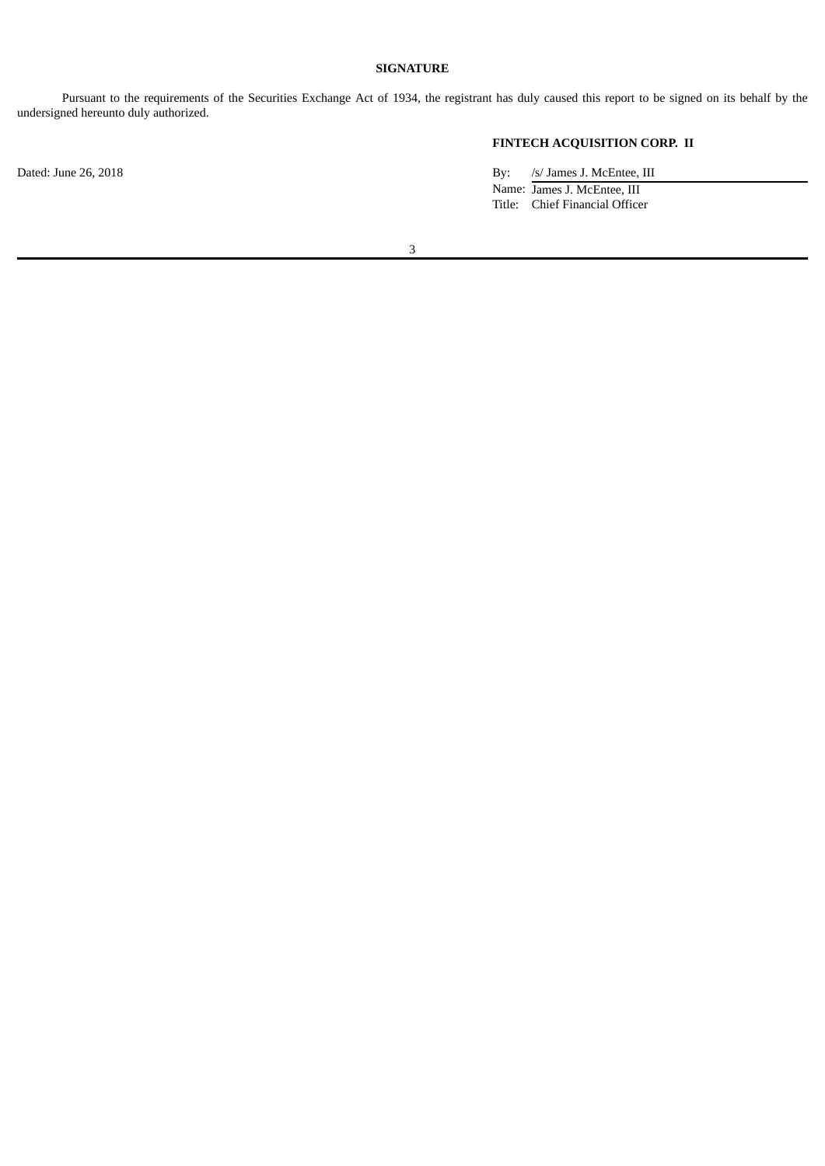# **SIGNATURE**

Pursuant to the requirements of the Securities Exchange Act of 1934, the registrant has duly caused this report to be signed on its behalf by the undersigned hereunto duly authorized.

# **FINTECH ACQUISITION CORP. II**

Dated: June 26, 2018 By: /s/ James J. McEntee, III Name: James J. McEntee, III Title: Chief Financial Officer

3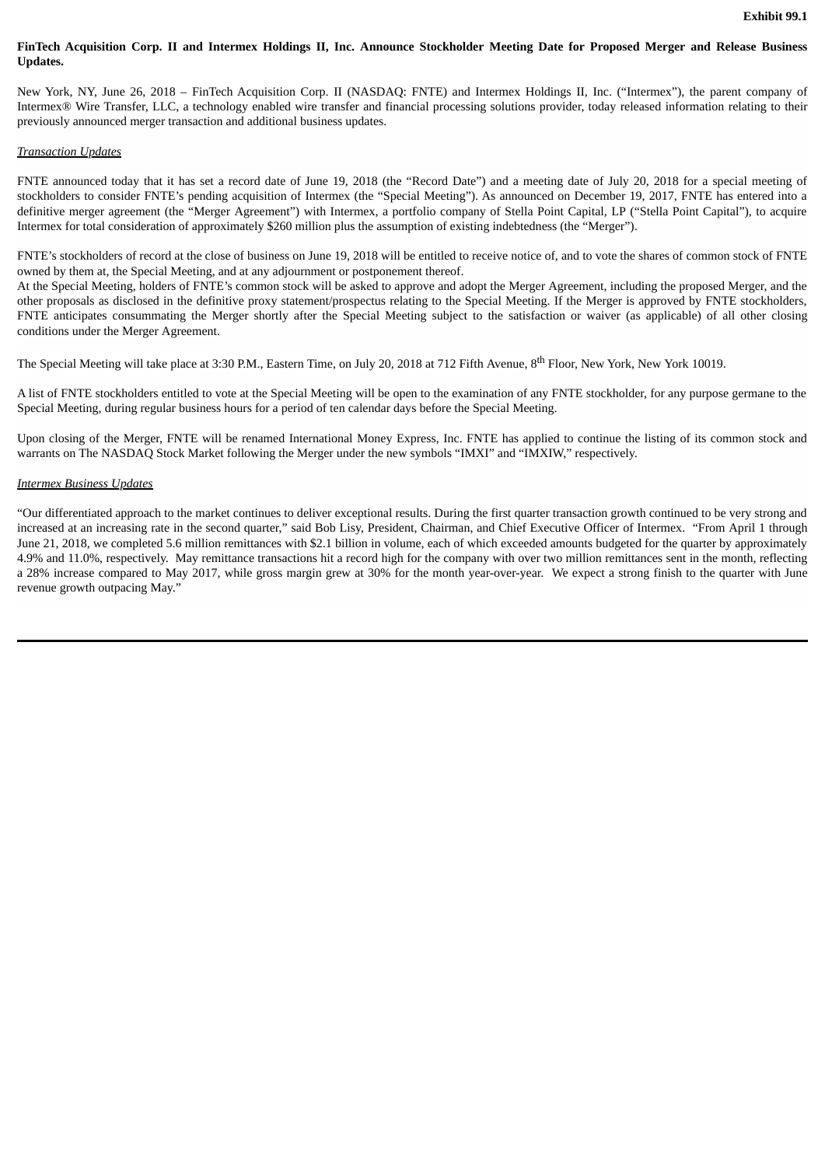## FinTech Acquisition Corp. II and Intermex Holdings II, Inc. Announce Stockholder Meeting Date for Proposed Merger and Release Business **Updates.**

New York, NY, June 26, 2018 – FinTech Acquisition Corp. II (NASDAQ: FNTE) and Intermex Holdings II, Inc. ("Intermex"), the parent company of Intermex® Wire Transfer, LLC, a technology enabled wire transfer and financial processing solutions provider, today released information relating to their previously announced merger transaction and additional business updates.

# *Transaction Updates*

FNTE announced today that it has set a record date of June 19, 2018 (the "Record Date") and a meeting date of July 20, 2018 for a special meeting of stockholders to consider FNTE's pending acquisition of Intermex (the "Special Meeting"). As announced on December 19, 2017, FNTE has entered into a definitive merger agreement (the "Merger Agreement") with Intermex, a portfolio company of Stella Point Capital, LP ("Stella Point Capital"), to acquire Intermex for total consideration of approximately \$260 million plus the assumption of existing indebtedness (the "Merger").

FNTE's stockholders of record at the close of business on June 19, 2018 will be entitled to receive notice of, and to vote the shares of common stock of FNTE owned by them at, the Special Meeting, and at any adjournment or postponement thereof.

At the Special Meeting, holders of FNTE's common stock will be asked to approve and adopt the Merger Agreement, including the proposed Merger, and the other proposals as disclosed in the definitive proxy statement/prospectus relating to the Special Meeting. If the Merger is approved by FNTE stockholders, FNTE anticipates consummating the Merger shortly after the Special Meeting subject to the satisfaction or waiver (as applicable) of all other closing conditions under the Merger Agreement.

The Special Meeting will take place at 3:30 P.M., Eastern Time, on July 20, 2018 at 712 Fifth Avenue, 8<sup>th</sup> Floor, New York, New York 10019.

A list of FNTE stockholders entitled to vote at the Special Meeting will be open to the examination of any FNTE stockholder, for any purpose germane to the Special Meeting, during regular business hours for a period of ten calendar days before the Special Meeting.

Upon closing of the Merger, FNTE will be renamed International Money Express, Inc. FNTE has applied to continue the listing of its common stock and warrants on The NASDAQ Stock Market following the Merger under the new symbols "IMXI" and "IMXIW," respectively.

### *Intermex Business Updates*

"Our differentiated approach to the market continues to deliver exceptional results. During the first quarter transaction growth continued to be very strong and increased at an increasing rate in the second quarter," said Bob Lisy, President, Chairman, and Chief Executive Officer of Intermex. "From April 1 through June 21, 2018, we completed 5.6 million remittances with \$2.1 billion in volume, each of which exceeded amounts budgeted for the quarter by approximately 4.9% and 11.0%, respectively. May remittance transactions hit a record high for the company with over two million remittances sent in the month, reflecting a 28% increase compared to May 2017, while gross margin grew at 30% for the month year-over-year. We expect a strong finish to the quarter with June revenue growth outpacing May."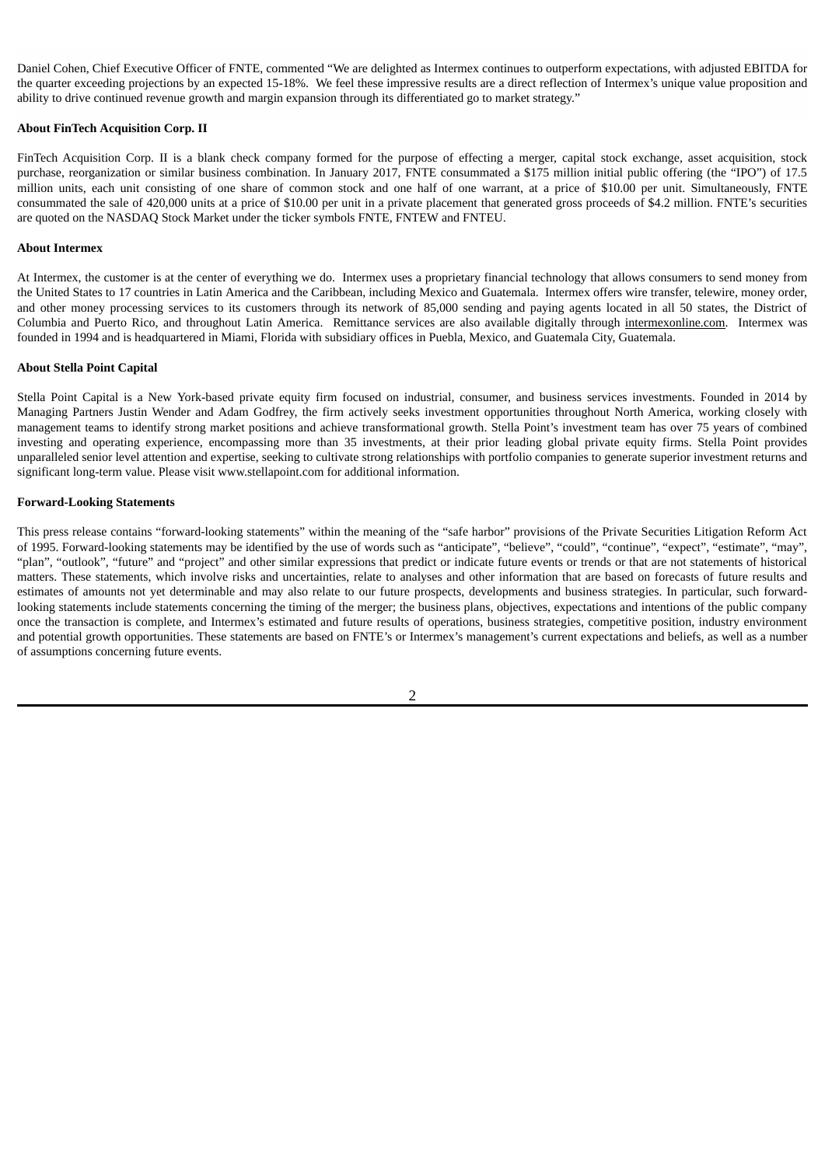Daniel Cohen, Chief Executive Officer of FNTE, commented "We are delighted as Intermex continues to outperform expectations, with adjusted EBITDA for the quarter exceeding projections by an expected 15-18%. We feel these impressive results are a direct reflection of Intermex's unique value proposition and ability to drive continued revenue growth and margin expansion through its differentiated go to market strategy."

### **About FinTech Acquisition Corp. II**

FinTech Acquisition Corp. II is a blank check company formed for the purpose of effecting a merger, capital stock exchange, asset acquisition, stock purchase, reorganization or similar business combination. In January 2017, FNTE consummated a \$175 million initial public offering (the "IPO") of 17.5 million units, each unit consisting of one share of common stock and one half of one warrant, at a price of \$10.00 per unit. Simultaneously, FNTE consummated the sale of 420,000 units at a price of \$10.00 per unit in a private placement that generated gross proceeds of \$4.2 million. FNTE's securities are quoted on the NASDAQ Stock Market under the ticker symbols FNTE, FNTEW and FNTEU.

### **About Intermex**

At Intermex, the customer is at the center of everything we do. Intermex uses a proprietary financial technology that allows consumers to send money from the United States to 17 countries in Latin America and the Caribbean, including Mexico and Guatemala. Intermex offers wire transfer, telewire, money order, and other money processing services to its customers through its network of 85,000 sending and paying agents located in all 50 states, the District of Columbia and Puerto Rico, and throughout Latin America. Remittance services are also available digitally through intermexonline.com. Intermex was founded in 1994 and is headquartered in Miami, Florida with subsidiary offices in Puebla, Mexico, and Guatemala City, Guatemala.

### **About Stella Point Capital**

Stella Point Capital is a New York-based private equity firm focused on industrial, consumer, and business services investments. Founded in 2014 by Managing Partners Justin Wender and Adam Godfrey, the firm actively seeks investment opportunities throughout North America, working closely with management teams to identify strong market positions and achieve transformational growth. Stella Point's investment team has over 75 years of combined investing and operating experience, encompassing more than 35 investments, at their prior leading global private equity firms. Stella Point provides unparalleled senior level attention and expertise, seeking to cultivate strong relationships with portfolio companies to generate superior investment returns and significant long-term value. Please visit www.stellapoint.com for additional information.

### **Forward-Looking Statements**

This press release contains "forward-looking statements" within the meaning of the "safe harbor" provisions of the Private Securities Litigation Reform Act of 1995. Forward-looking statements may be identified by the use of words such as "anticipate", "believe", "could", "continue", "expect", "estimate", "may", "plan", "outlook", "future" and "project" and other similar expressions that predict or indicate future events or trends or that are not statements of historical matters. These statements, which involve risks and uncertainties, relate to analyses and other information that are based on forecasts of future results and estimates of amounts not yet determinable and may also relate to our future prospects, developments and business strategies. In particular, such forwardlooking statements include statements concerning the timing of the merger; the business plans, objectives, expectations and intentions of the public company once the transaction is complete, and Intermex's estimated and future results of operations, business strategies, competitive position, industry environment and potential growth opportunities. These statements are based on FNTE's or Intermex's management's current expectations and beliefs, as well as a number of assumptions concerning future events.